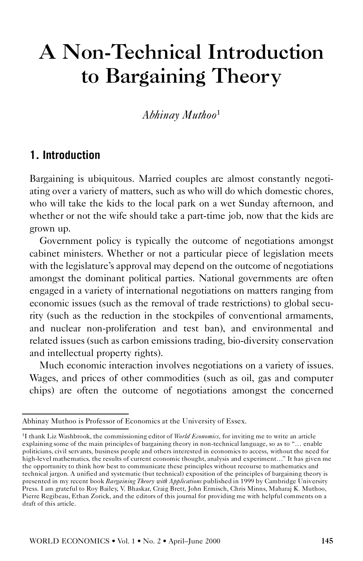# A Non-Technical Introduction to Bargaining Theory

*Abhinay Muthoo*<sup>1</sup>

## **1. Introduction**

Bargaining is ubiquitous. Married couples are almost constantly negotiating over a variety of matters, such as who will do which domestic chores, who will take the kids to the local park on a wet Sunday afternoon, and whether or not the wife should take a part-time job, now that the kids are grown up.

Government policy is typically the outcome of negotiations amongst cabinet ministers. Whether or not a particular piece of legislation meets with the legislature's approval may depend on the outcome of negotiations amongst the dominant political parties. National governments are often engaged in a variety of international negotiations on matters ranging from economic issues (such as the removal of trade restrictions) to global security (such as the reduction in the stockpiles of conventional armaments, and nuclear non-proliferation and test ban), and environmental and related issues (such as carbon emissions trading, bio-diversity conservation and intellectual property rights).

Much economic interaction involves negotiations on a variety of issues. Wages, and prices of other commodities (such as oil, gas and computer chips) are often the outcome of negotiations amongst the concerned

Abhinay Muthoo is Professor of Economics at the University of Essex.

<sup>1</sup>I thank Liz Washbrook, the commissioning editor of *World Economics*, for inviting me to write an article explaining some of the main principles of bargaining theory in non-technical language, so as to ''… enable politicians, civil servants, business people and others interested in economics to access, without the need for high-level mathematics, the results of current economic thought, analysis and experiment…'' It has given me the opportunity to think how best to communicate these principles without recourse to mathematics and technical jargon. A unified and systematic (but technical) exposition of the principles of bargaining theory is presented in my recent book *Bargaining Theory with Applications* published in 1999 by Cambridge University Press. I am grateful to Roy Bailey, V. Bhaskar, Craig Brett, John Ermisch, Chris Minns, Maharaj K. Muthoo, Pierre Regibeau, Ethan Zorick, and the editors of this journal for providing me with helpful comments on a draft of this article.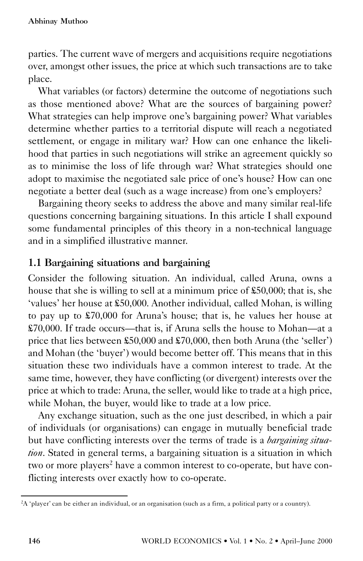parties. The current wave of mergers and acquisitions require negotiations over, amongst other issues, the price at which such transactions are to take place.

What variables (or factors) determine the outcome of negotiations such as those mentioned above? What are the sources of bargaining power? What strategies can help improve one's bargaining power? What variables determine whether parties to a territorial dispute will reach a negotiated settlement, or engage in military war? How can one enhance the likelihood that parties in such negotiations will strike an agreement quickly so as to minimise the loss of life through war? What strategies should one adopt to maximise the negotiated sale price of one's house? How can one negotiate a better deal (such as a wage increase) from one's employers?

Bargaining theory seeks to address the above and many similar real-life questions concerning bargaining situations. In this article I shall expound some fundamental principles of this theory in a non-technical language and in a simplified illustrative manner.

## 1.1 Bargaining situations and bargaining

Consider the following situation. An individual, called Aruna, owns a house that she is willing to sell at a minimum price of £50,000; that is, she 'values' her house at £50,000. Another individual, called Mohan, is willing to pay up to £70,000 for Aruna's house; that is, he values her house at £70,000. If trade occurs—that is, if Aruna sells the house to Mohan—at a price that lies between £50,000 and £70,000, then both Aruna (the 'seller') and Mohan (the 'buyer') would become better off. This means that in this situation these two individuals have a common interest to trade. At the same time, however, they have conflicting (or divergent) interests over the price at which to trade: Aruna, the seller, would like to trade at a high price, while Mohan, the buyer, would like to trade at a low price.

Any exchange situation, such as the one just described, in which a pair of individuals (or organisations) can engage in mutually beneficial trade but have conflicting interests over the terms of trade is a *bargaining situation*. Stated in general terms, a bargaining situation is a situation in which two or more players<sup>2</sup> have a common interest to co-operate, but have conflicting interests over exactly how to co-operate.

<sup>2</sup>A 'player' can be either an individual, or an organisation (such as a firm, a political party or a country).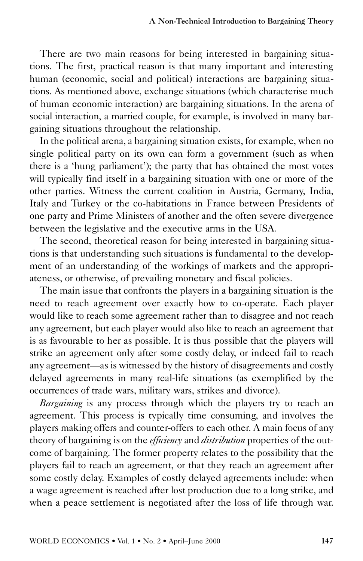There are two main reasons for being interested in bargaining situations. The first, practical reason is that many important and interesting human (economic, social and political) interactions are bargaining situations. As mentioned above, exchange situations (which characterise much of human economic interaction) are bargaining situations. In the arena of social interaction, a married couple, for example, is involved in many bargaining situations throughout the relationship.

In the political arena, a bargaining situation exists, for example, when no single political party on its own can form a government (such as when there is a 'hung parliament'); the party that has obtained the most votes will typically find itself in a bargaining situation with one or more of the other parties. Witness the current coalition in Austria, Germany, India, Italy and Turkey or the co-habitations in France between Presidents of one party and Prime Ministers of another and the often severe divergence between the legislative and the executive arms in the USA.

The second, theoretical reason for being interested in bargaining situations is that understanding such situations is fundamental to the development of an understanding of the workings of markets and the appropriateness, or otherwise, of prevailing monetary and fiscal policies.

The main issue that confronts the players in a bargaining situation is the need to reach agreement over exactly how to co-operate. Each player would like to reach some agreement rather than to disagree and not reach any agreement, but each player would also like to reach an agreement that is as favourable to her as possible. It is thus possible that the players will strike an agreement only after some costly delay, or indeed fail to reach any agreement—as is witnessed by the history of disagreements and costly delayed agreements in many real-life situations (as exemplified by the occurrences of trade wars, military wars, strikes and divorce).

*Bargaining* is any process through which the players try to reach an agreement. This process is typically time consuming, and involves the players making offers and counter-offers to each other. A main focus of any theory of bargaining is on the *efficiency* and *distribution* properties of the outcome of bargaining. The former property relates to the possibility that the players fail to reach an agreement, or that they reach an agreement after some costly delay. Examples of costly delayed agreements include: when a wage agreement is reached after lost production due to a long strike, and when a peace settlement is negotiated after the loss of life through war.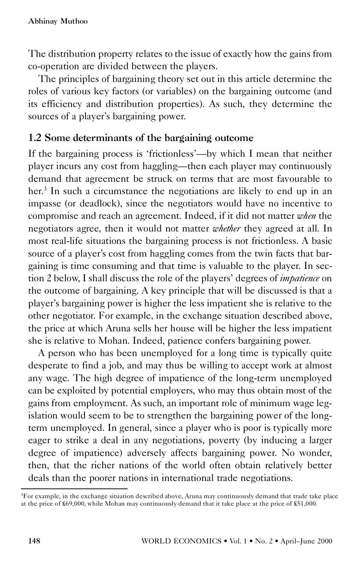The distribution property relates to the issue of exactly how the gains from co-operation are divided between the players.

The principles of bargaining theory set out in this article determine the roles of various key factors (or variables) on the bargaining outcome (and its efficiency and distribution properties). As such, they determine the sources of a player's bargaining power.

## 1.2 Some determinants of the bargaining outcome

If the bargaining process is 'frictionless'—by which I mean that neither player incurs any cost from haggling—then each player may continuously demand that agreement be struck on terms that are most favourable to her.<sup>3</sup> In such a circumstance the negotiations are likely to end up in an impasse (or deadlock), since the negotiators would have no incentive to compromise and reach an agreement. Indeed, if it did not matter *when* the negotiators agree, then it would not matter *whether* they agreed at all. In most real-life situations the bargaining process is not frictionless. A basic source of a player's cost from haggling comes from the twin facts that bargaining is time consuming and that time is valuable to the player. In section 2 below, I shall discuss the role of the players' degrees of *impatience* on the outcome of bargaining. A key principle that will be discussed is that a player's bargaining power is higher the less impatient she is relative to the other negotiator. For example, in the exchange situation described above, the price at which Aruna sells her house will be higher the less impatient she is relative to Mohan. Indeed, patience confers bargaining power.

A person who has been unemployed for a long time is typically quite desperate to find a job, and may thus be willing to accept work at almost any wage. The high degree of impatience of the long-term unemployed can be exploited by potential employers, who may thus obtain most of the gains from employment. As such, an important role of minimum wage legislation would seem to be to strengthen the bargaining power of the longterm unemployed. In general, since a player who is poor is typically more eager to strike a deal in any negotiations, poverty (by inducing a larger degree of impatience) adversely affects bargaining power. No wonder, then, that the richer nations of the world often obtain relatively better deals than the poorer nations in international trade negotiations.

<sup>&</sup>lt;sup>3</sup>For example, in the exchange situation described above, Aruna may continuously demand that trade take place at the price of £69,000, while Mohan may continuously demand that it take place at the price of £51,000.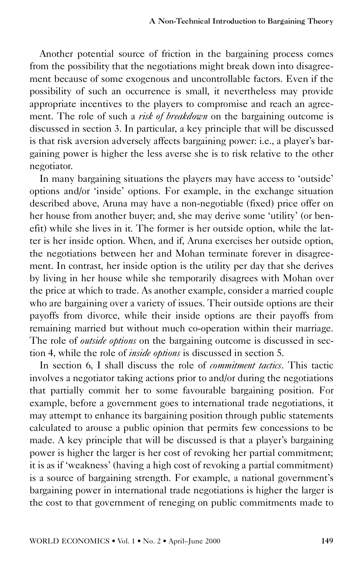Another potential source of friction in the bargaining process comes from the possibility that the negotiations might break down into disagreement because of some exogenous and uncontrollable factors. Even if the possibility of such an occurrence is small, it nevertheless may provide appropriate incentives to the players to compromise and reach an agreement. The role of such a *risk of breakdown* on the bargaining outcome is discussed in section 3. In particular, a key principle that will be discussed is that risk aversion adversely affects bargaining power: i.e., a player's bargaining power is higher the less averse she is to risk relative to the other negotiator.

In many bargaining situations the players may have access to 'outside' options and/or 'inside' options. For example, in the exchange situation described above, Aruna may have a non-negotiable (fixed) price offer on her house from another buyer; and, she may derive some 'utility' (or benefit) while she lives in it. The former is her outside option, while the latter is her inside option. When, and if, Aruna exercises her outside option, the negotiations between her and Mohan terminate forever in disagreement. In contrast, her inside option is the utility per day that she derives by living in her house while she temporarily disagrees with Mohan over the price at which to trade. As another example, consider a married couple who are bargaining over a variety of issues. Their outside options are their payoffs from divorce, while their inside options are their payoffs from remaining married but without much co-operation within their marriage. The role of *outside options* on the bargaining outcome is discussed in section 4, while the role of *inside options* is discussed in section 5.

In section 6, I shall discuss the role of *commitment tactics*. This tactic involves a negotiator taking actions prior to and/or during the negotiations that partially commit her to some favourable bargaining position. For example, before a government goes to international trade negotiations, it may attempt to enhance its bargaining position through public statements calculated to arouse a public opinion that permits few concessions to be made. A key principle that will be discussed is that a player's bargaining power is higher the larger is her cost of revoking her partial commitment; it is as if 'weakness' (having a high cost of revoking a partial commitment) is a source of bargaining strength. For example, a national government's bargaining power in international trade negotiations is higher the larger is the cost to that government of reneging on public commitments made to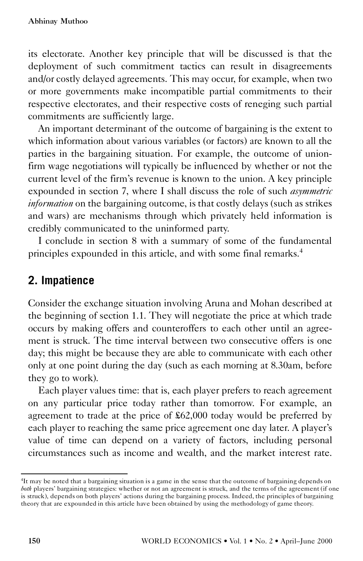its electorate. Another key principle that will be discussed is that the deployment of such commitment tactics can result in disagreements and/or costly delayed agreements. This may occur, for example, when two or more governments make incompatible partial commitments to their respective electorates, and their respective costs of reneging such partial commitments are sufficiently large.

An important determinant of the outcome of bargaining is the extent to which information about various variables (or factors) are known to all the parties in the bargaining situation. For example, the outcome of unionfirm wage negotiations will typically be influenced by whether or not the current level of the firm's revenue is known to the union. A key principle expounded in section 7, where I shall discuss the role of such *asymmetric information* on the bargaining outcome, is that costly delays (such as strikes and wars) are mechanisms through which privately held information is credibly communicated to the uninformed party.

I conclude in section 8 with a summary of some of the fundamental principles expounded in this article, and with some final remarks.<sup>4</sup>

# **2. Impatience**

Consider the exchange situation involving Aruna and Mohan described at the beginning of section 1.1. They will negotiate the price at which trade occurs by making offers and counteroffers to each other until an agreement is struck. The time interval between two consecutive offers is one day; this might be because they are able to communicate with each other only at one point during the day (such as each morning at 8.30am, before they go to work).

Each player values time: that is, each player prefers to reach agreement on any particular price today rather than tomorrow. For example, an agreement to trade at the price of £62,000 today would be preferred by each player to reaching the same price agreement one day later. A player's value of time can depend on a variety of factors, including personal circumstances such as income and wealth, and the market interest rate.

<sup>4</sup>It may be noted that a bargaining situation is a game in the sense that the outcome of bargaining depends on *both* players' bargaining strategies: whether or not an agreement is struck, and the terms of the agreement (if one is struck), depends on both players' actions during the bargaining process. Indeed, the principles of bargaining theory that are expounded in this article have been obtained by using the methodology of game theory.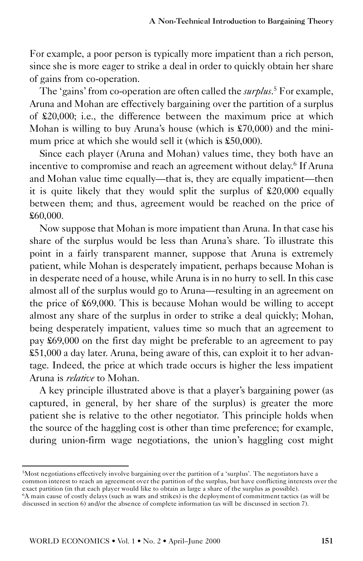For example, a poor person is typically more impatient than a rich person, since she is more eager to strike a deal in order to quickly obtain her share of gains from co-operation.

The 'gains' from co-operation are often called the *surplus*.<sup>5</sup> For example, Aruna and Mohan are effectively bargaining over the partition of a surplus of £20,000; i.e., the difference between the maximum price at which Mohan is willing to buy Aruna's house (which is £70,000) and the minimum price at which she would sell it (which is £50,000).

Since each player (Aruna and Mohan) values time, they both have an incentive to compromise and reach an agreement without delay.<sup>6</sup> If Aruna and Mohan value time equally—that is, they are equally impatient—then it is quite likely that they would split the surplus of £20,000 equally between them; and thus, agreement would be reached on the price of £60,000.

Now suppose that Mohan is more impatient than Aruna. In that case his share of the surplus would be less than Aruna's share. To illustrate this point in a fairly transparent manner, suppose that Aruna is extremely patient, while Mohan is desperately impatient, perhaps because Mohan is in desperate need of a house, while Aruna is in no hurry to sell. In this case almost all of the surplus would go to Aruna—resulting in an agreement on the price of £69,000. This is because Mohan would be willing to accept almost any share of the surplus in order to strike a deal quickly; Mohan, being desperately impatient, values time so much that an agreement to pay £69,000 on the first day might be preferable to an agreement to pay £51,000 a day later. Aruna, being aware of this, can exploit it to her advantage. Indeed, the price at which trade occurs is higher the less impatient Aruna is *relative* to Mohan.

A key principle illustrated above is that a player's bargaining power (as captured, in general, by her share of the surplus) is greater the more patient she is relative to the other negotiator. This principle holds when the source of the haggling cost is other than time preference; for example, during union-firm wage negotiations, the union's haggling cost might

<sup>5</sup>Most negotiations effectively involve bargaining over the partition of a 'surplus'. The negotiators have a common interest to reach an agreement over the partition of the surplus, but have conflicting interests over the exact partition (in that each player would like to obtain as large a share of the surplus as possible).

<sup>6</sup>A main cause of costly delays (such as wars and strikes) is the deployment of commitment tactics (as will be discussed in section 6) and/or the absence of complete information (as will be discussed in section 7).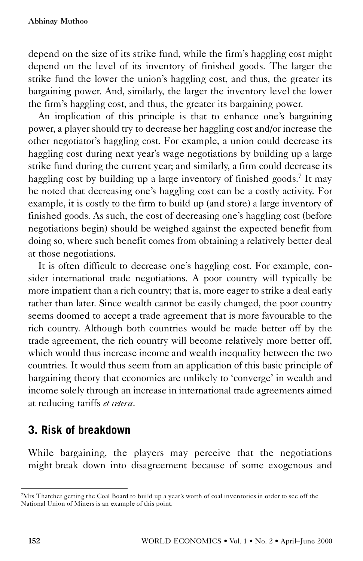depend on the size of its strike fund, while the firm's haggling cost might depend on the level of its inventory of finished goods. The larger the strike fund the lower the union's haggling cost, and thus, the greater its bargaining power. And, similarly, the larger the inventory level the lower the firm's haggling cost, and thus, the greater its bargaining power. An implication of this principle is that to enhance one's bargaining

power, a player should try to decrease her haggling cost and/or increase the other negotiator's haggling cost. For example, a union could decrease its haggling cost during next year's wage negotiations by building up a large strike fund during the current year; and similarly, a firm could decrease its haggling cost by building up a large inventory of finished goods.<sup>7</sup> It may be noted that decreasing one's haggling cost can be a costly activity. For example, it is costly to the firm to build up (and store) a large inventory of finished goods. As such, the cost of decreasing one's haggling cost (before negotiations begin) should be weighed against the expected benefit from doing so, where such benefit comes from obtaining a relatively better deal at those negotiations.

It is often difficult to decrease one's haggling cost. For example, consider international trade negotiations. A poor country will typically be more impatient than a rich country; that is, more eager to strike a deal early rather than later. Since wealth cannot be easily changed, the poor country seems doomed to accept a trade agreement that is more favourable to the rich country. Although both countries would be made better off by the trade agreement, the rich country will become relatively more better off, which would thus increase income and wealth inequality between the two countries. It would thus seem from an application of this basic principle of bargaining theory that economies are unlikely to 'converge' in wealth and income solely through an increase in international trade agreements aimed at reducing tariffs *et cetera*.

# **3. Risk of breakdown**

While bargaining, the players may perceive that the negotiations might break down into disagreement because of some exogenous and

<sup>7</sup>Mrs Thatcher getting the Coal Board to build up a year's worth of coal inventories in order to see off the National Union of Miners is an example of this point.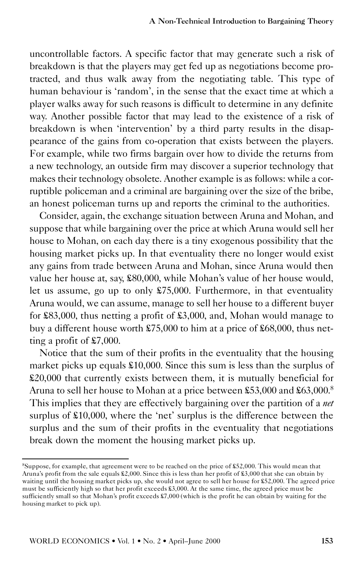uncontrollable factors. A specific factor that may generate such a risk of breakdown is that the players may get fed up as negotiations become protracted, and thus walk away from the negotiating table. This type of human behaviour is 'random', in the sense that the exact time at which a player walks away for such reasons is difficult to determine in any definite way. Another possible factor that may lead to the existence of a risk of breakdown is when 'intervention' by a third party results in the disappearance of the gains from co-operation that exists between the players. For example, while two firms bargain over how to divide the returns from a new technology, an outside firm may discover a superior technology that makes their technology obsolete. Another example is as follows: while a corruptible policeman and a criminal are bargaining over the size of the bribe, an honest policeman turns up and reports the criminal to the authorities.

Consider, again, the exchange situation between Aruna and Mohan, and suppose that while bargaining over the price at which Aruna would sell her house to Mohan, on each day there is a tiny exogenous possibility that the housing market picks up. In that eventuality there no longer would exist any gains from trade between Aruna and Mohan, since Aruna would then value her house at, say, £80,000, while Mohan's value of her house would, let us assume, go up to only £75,000. Furthermore, in that eventuality Aruna would, we can assume, manage to sell her house to a different buyer for £83,000, thus netting a profit of £3,000, and, Mohan would manage to buy a different house worth £75,000 to him at a price of £68,000, thus netting a profit of £7,000.

Notice that the sum of their profits in the eventuality that the housing market picks up equals £10,000. Since this sum is less than the surplus of £20,000 that currently exists between them, it is mutually beneficial for Aruna to sell her house to Mohan at a price between £53,000 and £63,000.<sup>8</sup> This implies that they are effectively bargaining over the partition of a *net* surplus of £10,000, where the 'net' surplus is the difference between the surplus and the sum of their profits in the eventuality that negotiations break down the moment the housing market picks up.

<sup>8</sup>Suppose, for example, that agreement were to be reached on the price of £52,000. This would mean that Aruna's profit from the sale equals £2,000. Since this is less than her profit of £3,000 that she can obtain by waiting until the housing market picks up, she would not agree to sell her house for £52,000. The agreed price must be sufficiently high so that her profit exceeds £3,000. At the same time, the agreed price must be sufficiently small so that Mohan's profit exceeds £7,000 (which is the profit he can obtain by waiting for the housing market to pick up).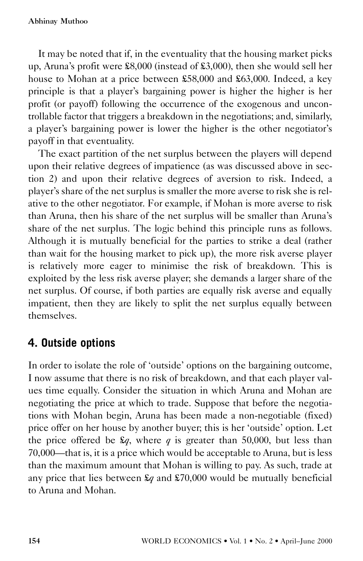It may be noted that if, in the eventuality that the housing market picks up, Aruna's profit were £8,000 (instead of £3,000), then she would sell her house to Mohan at a price between £58,000 and £63,000. Indeed, a key principle is that a player's bargaining power is higher the higher is her profit (or payoff) following the occurrence of the exogenous and uncontrollable factor that triggers a breakdown in the negotiations; and, similarly, a player's bargaining power is lower the higher is the other negotiator's payoff in that eventuality.

The exact partition of the net surplus between the players will depend upon their relative degrees of impatience (as was discussed above in section 2) and upon their relative degrees of aversion to risk. Indeed, a player's share of the net surplus is smaller the more averse to risk she is relative to the other negotiator. For example, if Mohan is more averse to risk than Aruna, then his share of the net surplus will be smaller than Aruna's share of the net surplus. The logic behind this principle runs as follows. Although it is mutually beneficial for the parties to strike a deal (rather than wait for the housing market to pick up), the more risk averse player is relatively more eager to minimise the risk of breakdown. This is exploited by the less risk averse player; she demands a larger share of the net surplus. Of course, if both parties are equally risk averse and equally impatient, then they are likely to split the net surplus equally between themselves.

# **4. Outside options**

In order to isolate the role of 'outside' options on the bargaining outcome, I now assume that there is no risk of breakdown, and that each player values time equally. Consider the situation in which Aruna and Mohan are negotiating the price at which to trade. Suppose that before the negotiations with Mohan begin, Aruna has been made a non-negotiable (fixed) price offer on her house by another buyer; this is her 'outside' option. Let the price offered be  $\mathcal{L}q$ , where *q* is greater than 50,000, but less than 70,000—that is, it is a price which would be acceptable to Aruna, but is less than the maximum amount that Mohan is willing to pay. As such, trade at any price that lies between £*q* and £70,000 would be mutually beneficial to Aruna and Mohan.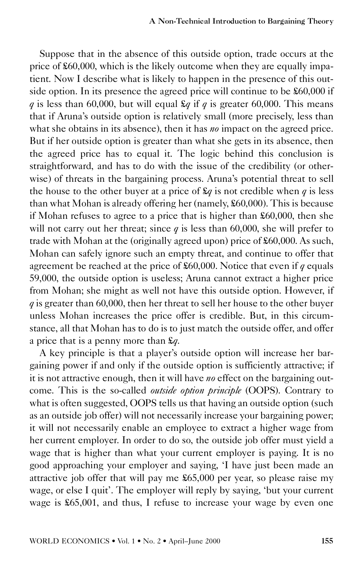Suppose that in the absence of this outside option, trade occurs at the price of £60,000, which is the likely outcome when they are equally impatient. Now I describe what is likely to happen in the presence of this outside option. In its presence the agreed price will continue to be £60,000 if *q* is less than 60,000, but will equal  $\mathcal{L}q$  if *q* is greater 60,000. This means that if Aruna's outside option is relatively small (more precisely, less than what she obtains in its absence), then it has *no* impact on the agreed price. But if her outside option is greater than what she gets in its absence, then the agreed price has to equal it. The logic behind this conclusion is straightforward, and has to do with the issue of the credibility (or otherwise) of threats in the bargaining process. Aruna's potential threat to sell the house to the other buyer at a price of  $\mathcal{L}q$  is not credible when *q* is less than what Mohan is already offering her (namely, £60,000). This is because if Mohan refuses to agree to a price that is higher than £60,000, then she will not carry out her threat; since  $q$  is less than 60,000, she will prefer to trade with Mohan at the (originally agreed upon) price of £60,000. As such, Mohan can safely ignore such an empty threat, and continue to offer that agreement be reached at the price of £60,000. Notice that even if *q* equals 59,000, the outside option is useless; Aruna cannot extract a higher price from Mohan; she might as well not have this outside option. However, if *q* is greater than 60,000, then her threat to sell her house to the other buyer unless Mohan increases the price offer is credible. But, in this circumstance, all that Mohan has to do is to just match the outside offer, and offer a price that is a penny more than £*q*. A key principle is that a player's outside option will increase her bar-

gaining power if and only if the outside option is sufficiently attractive; if it is not attractive enough, then it will have *no* effect on the bargaining outcome. This is the so-called *outside option principle* (OOPS). Contrary to what is often suggested, OOPS tells us that having an outside option (such as an outside job offer) will not necessarily increase your bargaining power; it will not necessarily enable an employee to extract a higher wage from her current employer. In order to do so, the outside job offer must yield a wage that is higher than what your current employer is paying. It is no good approaching your employer and saying, 'I have just been made an attractive job offer that will pay me £65,000 per year, so please raise my wage, or else I quit'. The employer will reply by saying, 'but your current wage is £65,001, and thus, I refuse to increase your wage by even one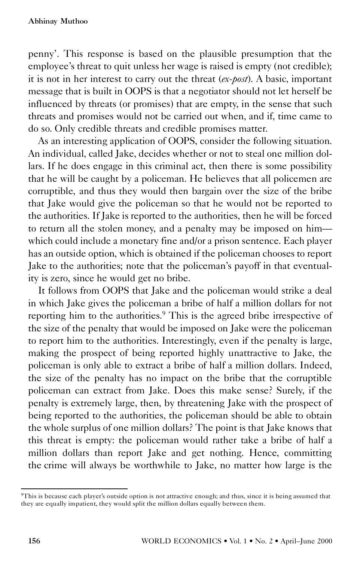penny'. This response is based on the plausible presumption that the employee's threat to quit unless her wage is raised is empty (not credible); it is not in her interest to carry out the threat (*ex-post*). A basic, important message that is built in OOPS is that a negotiator should not let herself be influenced by threats (or promises) that are empty, in the sense that such threats and promises would not be carried out when, and if, time came to do so. Only credible threats and credible promises matter.

As an interesting application of OOPS, consider the following situation. An individual, called Jake, decides whether or not to steal one million dollars. If he does engage in this criminal act, then there is some possibility that he will be caught by a policeman. He believes that all policemen are corruptible, and thus they would then bargain over the size of the bribe that Jake would give the policeman so that he would not be reported to the authorities. If Jake is reported to the authorities, then he will be forced to return all the stolen money, and a penalty may be imposed on him which could include a monetary fine and/or a prison sentence. Each player has an outside option, which is obtained if the policeman chooses to report Jake to the authorities; note that the policeman's payoff in that eventuality is zero, since he would get no bribe.

It follows from OOPS that Jake and the policeman would strike a deal in which Jake gives the policeman a bribe of half a million dollars for not reporting him to the authorities.<sup>9</sup> This is the agreed bribe irrespective of the size of the penalty that would be imposed on Jake were the policeman to report him to the authorities. Interestingly, even if the penalty is large, making the prospect of being reported highly unattractive to Jake, the policeman is only able to extract a bribe of half a million dollars. Indeed, the size of the penalty has no impact on the bribe that the corruptible policeman can extract from Jake. Does this make sense? Surely, if the penalty is extremely large, then, by threatening Jake with the prospect of being reported to the authorities, the policeman should be able to obtain the whole surplus of one million dollars? The point is that Jake knows that this threat is empty: the policeman would rather take a bribe of half a million dollars than report Jake and get nothing. Hence, committing the crime will always be worthwhile to Jake, no matter how large is the

<sup>9</sup>This is because each player's outside option is not attractive enough; and thus, since it is being assumed that they are equally impatient, they would split the million dollars equally between them.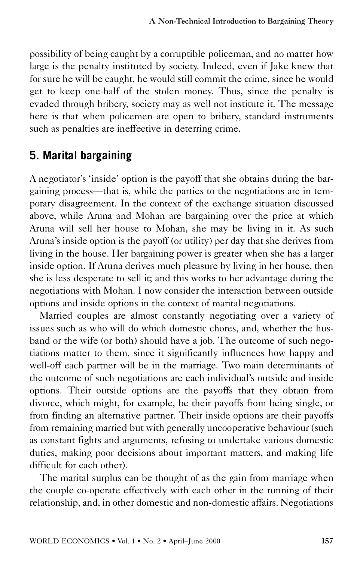possibility of being caught by a corruptible policeman, and no matter how large is the penalty instituted by society. Indeed, even if Jake knew that for sure he will be caught, he would still commit the crime, since he would get to keep one-half of the stolen money. Thus, since the penalty is evaded through bribery, society may as well not institute it. The message here is that when policemen are open to bribery, standard instruments such as penalties are ineffective in deterring crime.

# **5. Marital bargaining**

A negotiator's 'inside' option is the payoff that she obtains during the bargaining process—that is, while the parties to the negotiations are in temporary disagreement. In the context of the exchange situation discussed above, while Aruna and Mohan are bargaining over the price at which Aruna will sell her house to Mohan, she may be living in it. As such Aruna's inside option is the payoff (or utility) per day that she derives from living in the house. Her bargaining power is greater when she has a larger inside option. If Aruna derives much pleasure by living in her house, then she is less desperate to sell it; and this works to her advantage during the negotiations with Mohan. I now consider the interaction between outside options and inside options in the context of marital negotiations.

Married couples are almost constantly negotiating over a variety of issues such as who will do which domestic chores, and, whether the husband or the wife (or both) should have a job. The outcome of such negotiations matter to them, since it significantly influences how happy and well-off each partner will be in the marriage. Two main determinants of the outcome of such negotiations are each individual's outside and inside options. Their outside options are the payoffs that they obtain from divorce, which might, for example, be their payoffs from being single, or from finding an alternative partner. Their inside options are their payoffs from remaining married but with generally uncooperative behaviour (such as constant fights and arguments, refusing to undertake various domestic duties, making poor decisions about important matters, and making life difficult for each other).

The marital surplus can be thought of as the gain from marriage when the couple co-operate effectively with each other in the running of their relationship, and, in other domestic and non-domestic affairs. Negotiations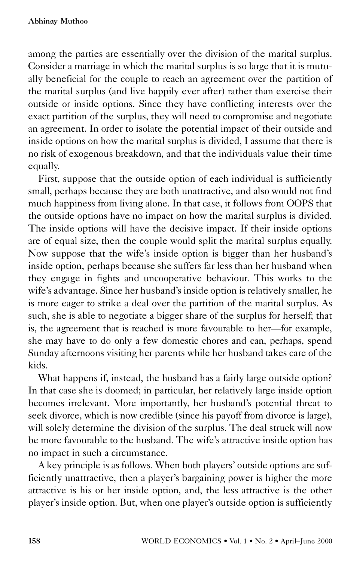among the parties are essentially over the division of the marital surplus. Consider a marriage in which the marital surplus is so large that it is mutually beneficial for the couple to reach an agreement over the partition of the marital surplus (and live happily ever after) rather than exercise their outside or inside options. Since they have conflicting interests over the exact partition of the surplus, they will need to compromise and negotiate an agreement. In order to isolate the potential impact of their outside and inside options on how the marital surplus is divided, I assume that there is no risk of exogenous breakdown, and that the individuals value their time

equally. First, suppose that the outside option of each individual is sufficiently small, perhaps because they are both unattractive, and also would not find much happiness from living alone. In that case, it follows from OOPS that the outside options have no impact on how the marital surplus is divided. The inside options will have the decisive impact. If their inside options are of equal size, then the couple would split the marital surplus equally. Now suppose that the wife's inside option is bigger than her husband's inside option, perhaps because she suffers far less than her husband when they engage in fights and uncooperative behaviour. This works to the wife's advantage. Since her husband's inside option is relatively smaller, he is more eager to strike a deal over the partition of the marital surplus. As such, she is able to negotiate a bigger share of the surplus for herself; that is, the agreement that is reached is more favourable to her—for example, she may have to do only a few domestic chores and can, perhaps, spend Sunday afternoons visiting her parents while her husband takes care of the kids.

What happens if, instead, the husband has a fairly large outside option? In that case she is doomed; in particular, her relatively large inside option becomes irrelevant. More importantly, her husband's potential threat to seek divorce, which is now credible (since his payoff from divorce is large), will solely determine the division of the surplus. The deal struck will now be more favourable to the husband. The wife's attractive inside option has no impact in such a circumstance.

A key principle is as follows. When both players' outside options are sufficiently unattractive, then a player's bargaining power is higher the more attractive is his or her inside option, and, the less attractive is the other player's inside option. But, when one player's outside option is sufficiently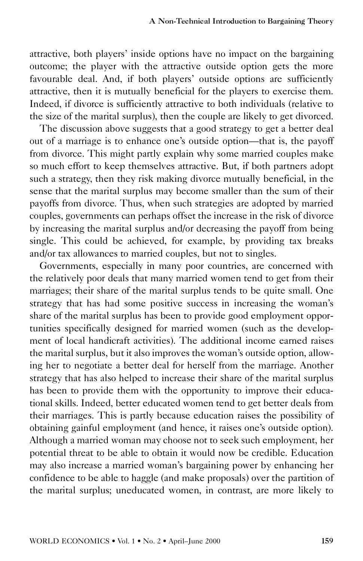attractive, both players' inside options have no impact on the bargaining outcome; the player with the attractive outside option gets the more favourable deal. And, if both players' outside options are sufficiently attractive, then it is mutually beneficial for the players to exercise them. Indeed, if divorce is sufficiently attractive to both individuals (relative to the size of the marital surplus), then the couple are likely to get divorced.

The discussion above suggests that a good strategy to get a better deal out of a marriage is to enhance one's outside option—that is, the payoff from divorce. This might partly explain why some married couples make so much effort to keep themselves attractive. But, if both partners adopt such a strategy, then they risk making divorce mutually beneficial, in the sense that the marital surplus may become smaller than the sum of their payoffs from divorce. Thus, when such strategies are adopted by married couples, governments can perhaps offset the increase in the risk of divorce by increasing the marital surplus and/or decreasing the payoff from being single. This could be achieved, for example, by providing tax breaks and/or tax allowances to married couples, but not to singles.

Governments, especially in many poor countries, are concerned with the relatively poor deals that many married women tend to get from their marriages; their share of the marital surplus tends to be quite small. One strategy that has had some positive success in increasing the woman's share of the marital surplus has been to provide good employment opportunities specifically designed for married women (such as the development of local handicraft activities). The additional income earned raises the marital surplus, but it also improves the woman's outside option, allowing her to negotiate a better deal for herself from the marriage. Another strategy that has also helped to increase their share of the marital surplus has been to provide them with the opportunity to improve their educational skills. Indeed, better educated women tend to get better deals from their marriages. This is partly because education raises the possibility of obtaining gainful employment (and hence, it raises one's outside option). Although a married woman may choose not to seek such employment, her potential threat to be able to obtain it would now be credible. Education may also increase a married woman's bargaining power by enhancing her confidence to be able to haggle (and make proposals) over the partition of the marital surplus; uneducated women, in contrast, are more likely to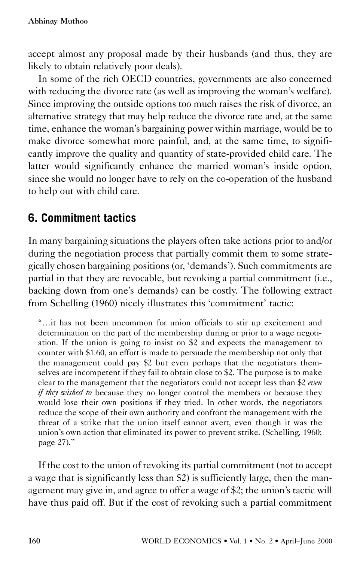accept almost any proposal made by their husbands (and thus, they are likely to obtain relatively poor deals).

In some of the rich OECD countries, governments are also concerned with reducing the divorce rate (as well as improving the woman's welfare). Since improving the outside options too much raises the risk of divorce, an alternative strategy that may help reduce the divorce rate and, at the same time, enhance the woman's bargaining power within marriage, would be to make divorce somewhat more painful, and, at the same time, to significantly improve the quality and quantity of state-provided child care. The latter would significantly enhance the married woman's inside option, since she would no longer have to rely on the co-operation of the husband to help out with child care.

# **6. Commitment tactics**

In many bargaining situations the players often take actions prior to and/or during the negotiation process that partially commit them to some strategically chosen bargaining positions (or, 'demands'). Such commitments are partial in that they are revocable, but revoking a partial commitment (i.e., backing down from one's demands) can be costly. The following extract from Schelling (1960) nicely illustrates this 'commitment' tactic:

''…it has not been uncommon for union officials to stir up excitement and determination on the part of the membership during or prior to a wage negotiation. If the union is going to insist on \$2 and expects the management to counter with \$1.60, an effort is made to persuade the membership not only that the management could pay \$2 but even perhaps that the negotiators themselves are incompetent if they fail to obtain close to \$2. The purpose is to make clear to the management that the negotiators could not accept less than \$2 *even if they wished to* because they no longer control the members or because they would lose their own positions if they tried. In other words, the negotiators reduce the scope of their own authority and confront the management with the threat of a strike that the union itself cannot avert, even though it was the union's own action that eliminated its power to prevent strike. (Schelling, 1960; page 27).''

If the cost to the union of revoking its partial commitment (not to accept a wage that is significantly less than \$2) is sufficiently large, then the management may give in, and agree to offer a wage of \$2; the union's tactic will have thus paid off. But if the cost of revoking such a partial commitment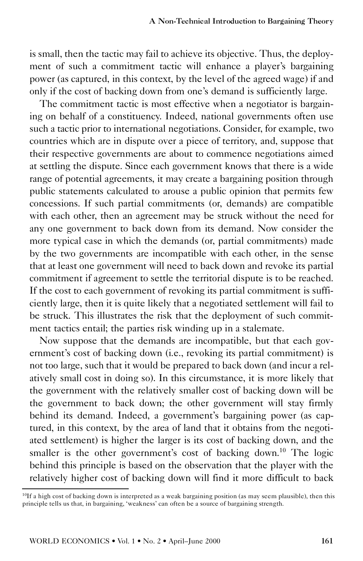is small, then the tactic may fail to achieve its objective. Thus, the deployment of such a commitment tactic will enhance a player's bargaining power (as captured, in this context, by the level of the agreed wage) if and only if the cost of backing down from one's demand is sufficiently large.

The commitment tactic is most effective when a negotiator is bargaining on behalf of a constituency. Indeed, national governments often use such a tactic prior to international negotiations. Consider, for example, two countries which are in dispute over a piece of territory, and, suppose that their respective governments are about to commence negotiations aimed at settling the dispute. Since each government knows that there is a wide range of potential agreements, it may create a bargaining position through public statements calculated to arouse a public opinion that permits few concessions. If such partial commitments (or, demands) are compatible with each other, then an agreement may be struck without the need for any one government to back down from its demand. Now consider the more typical case in which the demands (or, partial commitments) made by the two governments are incompatible with each other, in the sense that at least one government will need to back down and revoke its partial commitment if agreement to settle the territorial dispute is to be reached. If the cost to each government of revoking its partial commitment is sufficiently large, then it is quite likely that a negotiated settlement will fail to be struck. This illustrates the risk that the deployment of such commitment tactics entail; the parties risk winding up in a stalemate.

Now suppose that the demands are incompatible, but that each government's cost of backing down (i.e., revoking its partial commitment) is not too large, such that it would be prepared to back down (and incur a relatively small cost in doing so). In this circumstance, it is more likely that the government with the relatively smaller cost of backing down will be the government to back down; the other government will stay firmly behind its demand. Indeed, a government's bargaining power (as captured, in this context, by the area of land that it obtains from the negotiated settlement) is higher the larger is its cost of backing down, and the smaller is the other government's cost of backing down.<sup>10</sup> The logic behind this principle is based on the observation that the player with the relatively higher cost of backing down will find it more difficult to back

<sup>10</sup>If a high cost of backing down is interpreted as a weak bargaining position (as may seem plausible), then this principle tells us that, in bargaining, 'weakness' can often be a source of bargaining strength.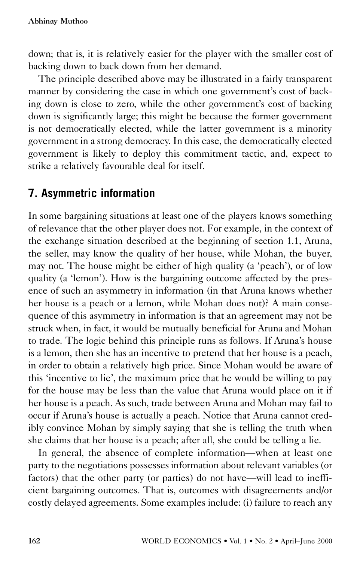down; that is, it is relatively easier for the player with the smaller cost of backing down to back down from her demand.

The principle described above may be illustrated in a fairly transparent manner by considering the case in which one government's cost of backing down is close to zero, while the other government's cost of backing down is significantly large; this might be because the former government is not democratically elected, while the latter government is a minority government in a strong democracy. In this case, the democratically elected government is likely to deploy this commitment tactic, and, expect to strike a relatively favourable deal for itself.

## **7. Asymmetric information**

In some bargaining situations at least one of the players knows something of relevance that the other player does not. For example, in the context of the exchange situation described at the beginning of section 1.1, Aruna, the seller, may know the quality of her house, while Mohan, the buyer, may not. The house might be either of high quality (a 'peach'), or of low quality (a 'lemon'). How is the bargaining outcome affected by the presence of such an asymmetry in information (in that Aruna knows whether her house is a peach or a lemon, while Mohan does not)? A main consequence of this asymmetry in information is that an agreement may not be struck when, in fact, it would be mutually beneficial for Aruna and Mohan to trade. The logic behind this principle runs as follows. If Aruna's house is a lemon, then she has an incentive to pretend that her house is a peach, in order to obtain a relatively high price. Since Mohan would be aware of this 'incentive to lie', the maximum price that he would be willing to pay for the house may be less than the value that Aruna would place on it if her house is a peach. As such, trade between Aruna and Mohan may fail to occur if Aruna's house is actually a peach. Notice that Aruna cannot credibly convince Mohan by simply saying that she is telling the truth when she claims that her house is a peach; after all, she could be telling a lie.

In general, the absence of complete information—when at least one party to the negotiations possesses information about relevant variables (or factors) that the other party (or parties) do not have—will lead to inefficient bargaining outcomes. That is, outcomes with disagreements and/or costly delayed agreements. Some examples include: (i) failure to reach any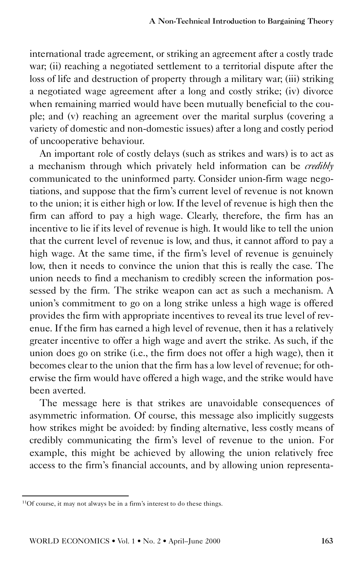international trade agreement, or striking an agreement after a costly trade war; (ii) reaching a negotiated settlement to a territorial dispute after the loss of life and destruction of property through a military war; (iii) striking a negotiated wage agreement after a long and costly strike; (iv) divorce when remaining married would have been mutually beneficial to the couple; and (v) reaching an agreement over the marital surplus (covering a variety of domestic and non-domestic issues) after a long and costly period of uncooperative behaviour.

An important role of costly delays (such as strikes and wars) is to act as a mechanism through which privately held information can be *credibly* communicated to the uninformed party. Consider union-firm wage negotiations, and suppose that the firm's current level of revenue is not known to the union; it is either high or low. If the level of revenue is high then the firm can afford to pay a high wage. Clearly, therefore, the firm has an incentive to lie if its level of revenue is high. It would like to tell the union that the current level of revenue is low, and thus, it cannot afford to pay a high wage. At the same time, if the firm's level of revenue is genuinely low, then it needs to convince the union that this is really the case. The union needs to find a mechanism to credibly screen the information possessed by the firm. The strike weapon can act as such a mechanism. A union's commitment to go on a long strike unless a high wage is offered provides the firm with appropriate incentives to reveal its true level of revenue. If the firm has earned a high level of revenue, then it has a relatively greater incentive to offer a high wage and avert the strike. As such, if the union does go on strike (i.e., the firm does not offer a high wage), then it becomes clear to the union that the firm has a low level of revenue; for otherwise the firm would have offered a high wage, and the strike would have been averted.

The message here is that strikes are unavoidable consequences of asymmetric information. Of course, this message also implicitly suggests how strikes might be avoided: by finding alternative, less costly means of credibly communicating the firm's level of revenue to the union. For example, this might be achieved by allowing the union relatively free access to the firm's financial accounts, and by allowing union representa-

<sup>11</sup>Of course, it may not always be in a firm's interest to do these things.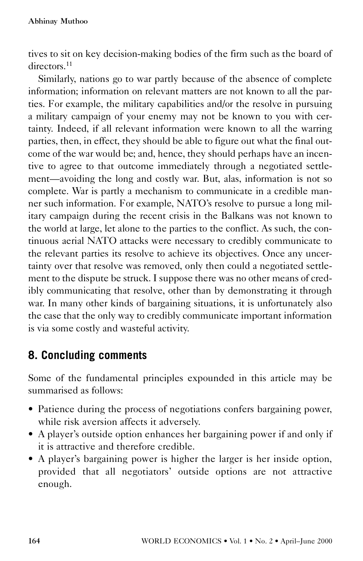tives to sit on key decision-making bodies of the firm such as the board of directors<sup>11</sup>

Similarly, nations go to war partly because of the absence of complete information; information on relevant matters are not known to all the parties. For example, the military capabilities and/or the resolve in pursuing a military campaign of your enemy may not be known to you with certainty. Indeed, if all relevant information were known to all the warring parties, then, in effect, they should be able to figure out what the final outcome of the war would be; and, hence, they should perhaps have an incentive to agree to that outcome immediately through a negotiated settlement—avoiding the long and costly war. But, alas, information is not so complete. War is partly a mechanism to communicate in a credible manner such information. For example, NATO's resolve to pursue a long military campaign during the recent crisis in the Balkans was not known to the world at large, let alone to the parties to the conflict. As such, the continuous aerial NATO attacks were necessary to credibly communicate to the relevant parties its resolve to achieve its objectives. Once any uncertainty over that resolve was removed, only then could a negotiated settlement to the dispute be struck. I suppose there was no other means of credibly communicating that resolve, other than by demonstrating it through war. In many other kinds of bargaining situations, it is unfortunately also the case that the only way to credibly communicate important information is via some costly and wasteful activity.

# **8. Concluding comments**

Some of the fundamental principles expounded in this article may be summarised as follows:

- Patience during the process of negotiations confers bargaining power, while risk aversion affects it adversely.
- A player's outside option enhances her bargaining power if and only if it is attractive and therefore credible.
- A player's bargaining power is higher the larger is her inside option, provided that all negotiators' outside options are not attractive enough.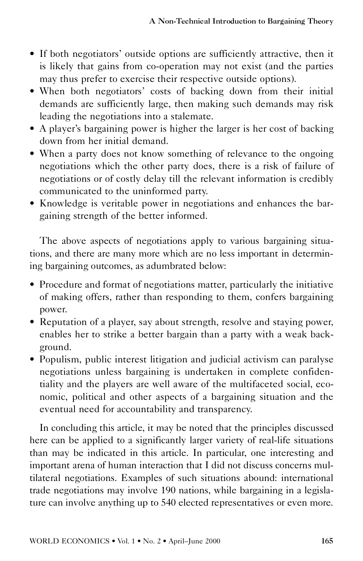- If both negotiators' outside options are sufficiently attractive, then it is likely that gains from co-operation may not exist (and the parties may thus prefer to exercise their respective outside options).
- When both negotiators' costs of backing down from their initial demands are sufficiently large, then making such demands may risk
- leading the negotiations into a stalemate. A player's bargaining power is higher the larger is her cost of backing down from her initial demand.<br>
• When a party does not know something of relevance to the ongoing
- negotiations which the other party does, there is a risk of failure of negotiations or of costly delay till the relevant information is credibly communicated to the uninformed party.
- Knowledge is veritable power in negotiations and enhances the bargaining strength of the better informed.

The above aspects of negotiations apply to various bargaining situations, and there are many more which are no less important in determining bargaining outcomes, as adumbrated below:

- Procedure and format of negotiations matter, particularly the initiative of making offers, rather than responding to them, confers bargaining power.
- Reputation of a player, say about strength, resolve and staying power, enables her to strike a better bargain than a party with a weak background.
- Populism, public interest litigation and judicial activism can paralyse negotiations unless bargaining is undertaken in complete confidentiality and the players are well aware of the multifaceted social, economic, political and other aspects of a bargaining situation and the eventual need for accountability and transparency.

In concluding this article, it may be noted that the principles discussed here can be applied to a significantly larger variety of real-life situations than may be indicated in this article. In particular, one interesting and important arena of human interaction that I did not discuss concerns multilateral negotiations. Examples of such situations abound: international trade negotiations may involve 190 nations, while bargaining in a legislature can involve anything up to 540 elected representatives or even more.